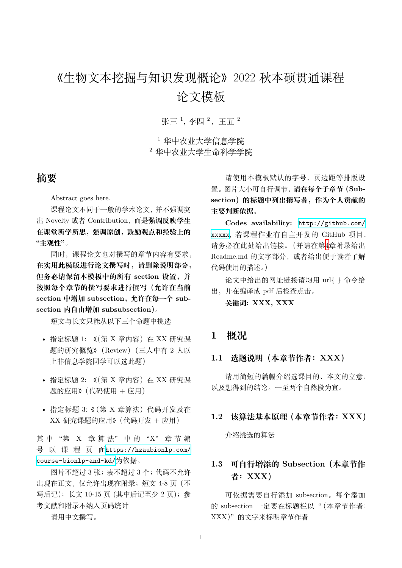# 《生物文本挖掘与知识发现概论》2022 秋本硕贯通课程 论文模板

张三<sup>1</sup>, 李四<sup>2</sup>, 王五<sup>2</sup>

<sup>1</sup> 华中农业大学信息学院 <sup>2</sup> 华中农业大学生命科学学院

## **摘要**

Abstract goes here.

课程论文不同于一般的学术论文,并不强调突 出 Novelty 或者 Contribution,而是**强调反映学生 在课堂所学所思,强调原创,鼓励观点和经验上的 "主观性"**。

同时,课程论文也对撰写的章节内容有要求, **在实用此模版进行论文撰写时,请删除说明部分, 但务必请保留本模板中的所有 section 设置,并 按照每个章节的撰写要求进行撰写(允许在当前** section 中增加 subsection, 允许在每一个 sub**section 内自由增加 subsubsection)**。

短文与长文只能从以下三个命题中挑选

- 指定标题 1: 《(第 X 章内容) 在 XX 研究课 题的研究概览》(Review)(三人中有 2 人以 上非信息学院同学可以选此题)
- 指定标题 2: 《(第 X 章内容) 在 XX 研究课 题的应用》(代码使用 + 应用)
- 指定标题 3: 《(第 X 章算法)代码开发及在 XX 研究课题的应用》(代码开发 + 应用)

其中"第 X 章 算法"中的"X"章节编 号 以 课 程 页 面https://hzaubionlp.com/ course-bionlp-and-kd/为依据。

图片不超过 3 张;表不超过 3 个;代码不允许 出现在正文,仅允许[出现在附录;短文](https://hzaubionlp.com/course-bionlp-and-kd/) 4-8 页(不 [写后记\);长文](https://hzaubionlp.com/course-bionlp-and-kd/) 10-15 页 (其中后记至少 2 页);参 考文献和附录不纳入页码统计

请用中文撰写。

请使用本模板默认的字号、页边距等排版设 置。图片大小可自行调节。**请在每个子章节(Subsection)的标题中列出撰写者,作为个人贡献的 主要判断依据。**

**Codes availability:** http://github.com/ xxxxx, 若课程作业有自主开发的 GitHub 项目, 请务必在此处给出链接。(并请在第4章附录给出 Readme.md 的文字部分,[或者给出便于读者了解](http://github.com/xxxxx) [代码使](http://github.com/xxxxx)用的描述。)

论文中给出的网址链接请均用 [ur](#page-3-0)l{ } 命令给 出,并在编译成 pdf 后检查点击。

**关键词: XXX, XXX**

### **1 概况**

#### **1.1 选题说明(本章节作者:XXX)**

请用简短的篇幅介绍选课目的、本文的立意、 以及想得到的结论。一至两个自然段为宜。

#### **1.2 该算法基本原理(本章节作者:XXX)**

介绍挑选的算法

# **1.3 可自行增添的 Subsection(本章节作 者:XXX)**

可依据需要自行添加 subsection。每个添加 的 subsection 一定要在标题栏以"(本章节作者: XXX)"的文字来标明章节作者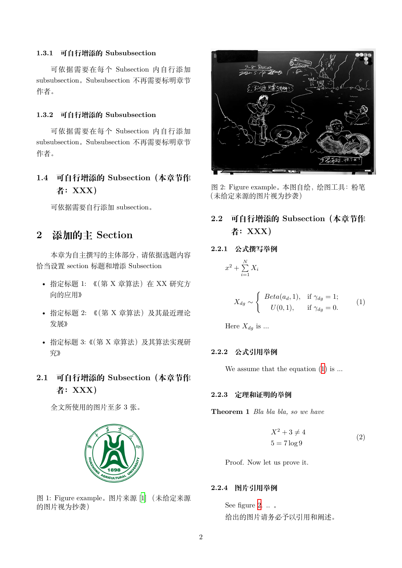#### **1.3.1 可自行增添的 Subsubsection**

可依据需要在每个 Subsection 内自行添加 subsubsection。Subsubsection 不再需要标明章节 作者。

#### **1.3.2 可自行增添的 Subsubsection**

可依据需要在每个 Subsection 内自行添加 subsubsection。Subsubsection 不再需要标明章节 作者。

# **1.4 可自行增添的 Subsection(本章节作 者:XXX)**

可依据需要自行添加 subsection。

# **2 添加的主 Section**

本章为自主撰写的主体部分,请依据选题内容 恰当设置 section 标题和增添 Subsection

- 指定标题 1: 《(第 X 章算法) 在 XX 研究方 向的应用》
- 指定标题 2: 《(第 X 章算法) 及其最近理论 发展》
- 指定标题 3:《(第 X 章算法)及其算法实现研 究》
- **2.1 可自行增添的 Subsection(本章节作 者:XXX)**

全文所使用的图片至多 3 张。



图 1: Figure example。图片来源 [1] (未给定来源 的图片视为抄袭)



图 2: Figure example。本图自绘,绘图工具:粉笔 (未给定来源的图片视为抄袭)

# **2.2 可自行增添的 Subsection(本章节作 者:XXX)**

#### **2.2.1 公式撰写举例**

 $x^2 + \sum^N$  $\sum_{i=1}$   $X_i$ 

$$
X_{dg} \sim \begin{cases} \text{Beta}(a_d, 1), & \text{if } \gamma_{dg} = 1; \\ U(0, 1), & \text{if } \gamma_{dg} = 0. \end{cases}
$$
 (1)

<span id="page-1-0"></span>Here  $X_{dg}$  is ...

#### **2.2.2 公式引用举例**

We assume that the equation  $(1)$  is ...

#### **2.2.3 定理和证明的举例**

**Theorem 1** *Bla bla bla, so we have*

$$
X^2 + 3 \neq 4
$$
  

$$
5 = 7 \log 9
$$
 (2)

Proof. Now let us prove it.

#### **2.2.4 图片引用举例**

See figure 2. .. 。 给出的图片请务必予以引用和阐述。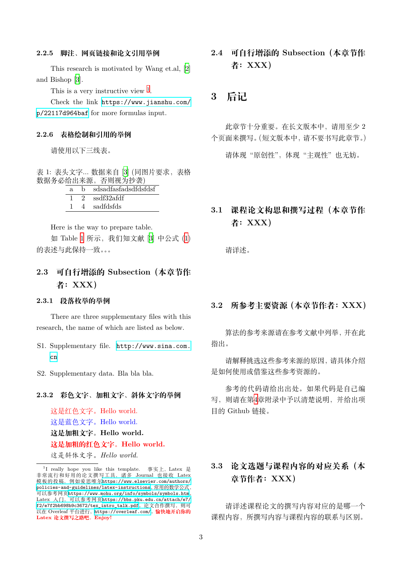#### **2.2.5 脚注、网页链接和论文引用举例**

This research is motivated by Wang et.al, [2] and Bishop [3].

This is a very instructive view  $<sup>1</sup>$ .</sup>

Check the link https://www.jianshu.co[m/](#page-3-1) p/22117d96[4b](#page-3-2)af for more formulas input.

#### **2.2.6 表格绘制和[引用的举例](https://www.jianshu.com/p/22117d964baf)**

[请使用以下三](https://www.jianshu.com/p/22117d964baf)线表。

表 1: 表头文字... 数据来自 [3] (同图片要求,表格 数据务必给出来源,否则视为抄袭)

<span id="page-2-0"></span>

| a. | h. | sdsadfasfadsdfdsfdsf |
|----|----|----------------------|
|    |    | 2 ssdf32afdf         |
|    |    | sadfdsfds            |

Here is the way to prepare table.

如 Table 1 所示,我们知文献 [3] 中公式 (1) 的表述与此保持一致。。。

### **2.3 可自[行增](#page-2-0)添的 Subsection[\(](#page-3-2)本章节[作](#page-1-0) 者:XXX)**

#### **2.3.1 段落枚举的举例**

There are three supplementary files with this research, the name of which are listed as below.

- S1. Supplementary file. http://www.sina.com.  $\overline{c}$
- S2. Supplementary data. [Bla bla bla.](http://www.sina.com.cn)

#### **2.3.[2](http://www.sina.com.cn) 彩色文字、加粗文字、斜体文字的举例**

这是红色文字。Hello world. 这是蓝色文字。Hello world. **这是加粗文字。Hello world. 这是加粗的红色文字。Hello world.** 这是斜体文字。*Hello world.*

**2.4 可自行增添的 Subsection(本章节作 者:XXX)**

### **3 后记**

此章节十分重要。在长文版本中,请用至少 2 个页面来撰写。(短文版本中,请不要书写此章节。)

请体现"原创性",体现"主观性"也无妨。

### **3.1 课程论文构思和撰写过程(本章节作 者:XXX)**

请详述。

#### **3.2 所参考主要资源(本章节作者:XXX)**

算法的参考来源请在参考文献中列举,并在此 指出。

请解释挑选这些参考来源的原因,请具体介绍 是如何使用或借鉴这些参考资源的。

参考的代码请给出出处。如果代码是自己编 写,则请在第4章附录中予以清楚说明,并给出项 目的 Github 链接。

# **3.3 论文选题与课程内容的对应关系(本 章节作者:XXX)**

请详述课程论文的撰写内容对应的是哪一个 课程内容,所撰写内容与课程内容的联系与区别。

<sup>&</sup>lt;sup>1</sup>I really hope you like this template. 事实上, Latex 是 非常流行和好用的论文撰写工具,诸多 Journal 也接收 Latex 模板的投稿,例如爱思唯尔https://www.elsevier.com/authors/ policies-and-guidelines/latex-instructions。常用的数学公式, 可以参考网页https://www.mohu.org/info/symbols/symbols.htm。 Latex 入门, 可以参考网页https://bbs.pku.edu.cn/attach/e7/ f2/e7f2bb698b9c3672/tex\_intro\_talk.pdf。论文合作撰写,则可 以在 Overleaf 平台进行, ht[tps://overleaf.com/](https://www.elsevier.com/authors/policies-and-guidelines/latex-instructions)。 愉快地开启你的 **Latex [论文撰写之路吧。](https://www.elsevier.com/authors/policies-and-guidelines/latex-instructions)Enjoy!**